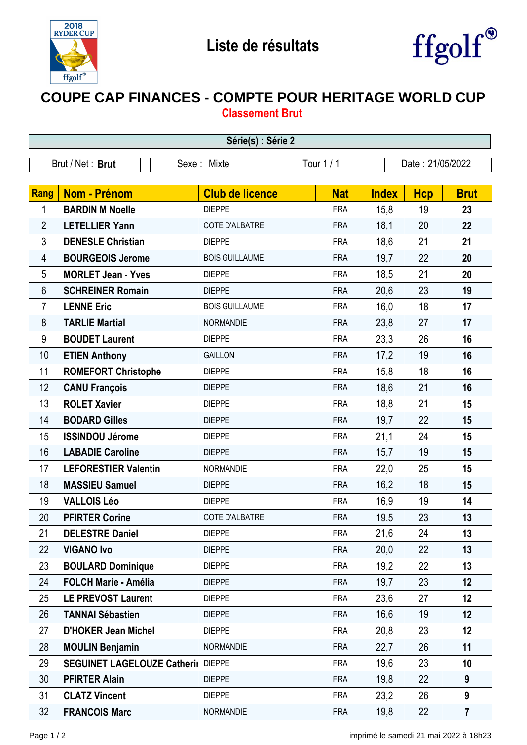



## **COUPE CAP FINANCES - COMPTE POUR HERITAGE WORLD CUP Classement Brut**

| Série(s) : Série 2 |                                    |                        |            |              |                  |                |  |  |  |  |
|--------------------|------------------------------------|------------------------|------------|--------------|------------------|----------------|--|--|--|--|
|                    | Brut / Net: Brut                   | Sexe: Mixte            | Tour 1 / 1 |              | Date: 21/05/2022 |                |  |  |  |  |
|                    |                                    |                        |            |              |                  |                |  |  |  |  |
| Rang               | Nom - Prénom                       | <b>Club de licence</b> | <b>Nat</b> | <b>Index</b> | <b>Hcp</b>       | <b>Brut</b>    |  |  |  |  |
| 1                  | <b>BARDIN M Noelle</b>             | <b>DIEPPE</b>          | <b>FRA</b> | 15,8         | 19               | 23             |  |  |  |  |
| $\overline{2}$     | <b>LETELLIER Yann</b>              | COTE D'ALBATRE         | <b>FRA</b> | 18,1         | 20               | 22             |  |  |  |  |
| 3                  | <b>DENESLE Christian</b>           | <b>DIEPPE</b>          | <b>FRA</b> | 18,6         | 21               | 21             |  |  |  |  |
| 4                  | <b>BOURGEOIS Jerome</b>            | <b>BOIS GUILLAUME</b>  | <b>FRA</b> | 19,7         | 22               | 20             |  |  |  |  |
| 5                  | <b>MORLET Jean - Yves</b>          | <b>DIEPPE</b>          | <b>FRA</b> | 18,5         | 21               | 20             |  |  |  |  |
| 6                  | <b>SCHREINER Romain</b>            | <b>DIEPPE</b>          | <b>FRA</b> | 20,6         | 23               | 19             |  |  |  |  |
| $\overline{7}$     | <b>LENNE Eric</b>                  | <b>BOIS GUILLAUME</b>  | <b>FRA</b> | 16,0         | 18               | 17             |  |  |  |  |
| 8                  | <b>TARLIE Martial</b>              | <b>NORMANDIE</b>       | <b>FRA</b> | 23,8         | 27               | 17             |  |  |  |  |
| 9                  | <b>BOUDET Laurent</b>              | <b>DIEPPE</b>          | <b>FRA</b> | 23,3         | 26               | 16             |  |  |  |  |
| 10                 | <b>ETIEN Anthony</b>               | <b>GAILLON</b>         | <b>FRA</b> | 17,2         | 19               | 16             |  |  |  |  |
| 11                 | <b>ROMEFORT Christophe</b>         | <b>DIEPPE</b>          | <b>FRA</b> | 15,8         | 18               | 16             |  |  |  |  |
| 12                 | <b>CANU François</b>               | <b>DIEPPE</b>          | <b>FRA</b> | 18,6         | 21               | 16             |  |  |  |  |
| 13                 | <b>ROLET Xavier</b>                | <b>DIEPPE</b>          | <b>FRA</b> | 18,8         | 21               | 15             |  |  |  |  |
| 14                 | <b>BODARD Gilles</b>               | <b>DIEPPE</b>          | <b>FRA</b> | 19,7         | 22               | 15             |  |  |  |  |
| 15                 | <b>ISSINDOU Jérome</b>             | <b>DIEPPE</b>          | <b>FRA</b> | 21,1         | 24               | 15             |  |  |  |  |
| 16                 | <b>LABADIE Caroline</b>            | <b>DIEPPE</b>          | <b>FRA</b> | 15,7         | 19               | 15             |  |  |  |  |
| 17                 | <b>LEFORESTIER Valentin</b>        | <b>NORMANDIE</b>       | <b>FRA</b> | 22,0         | 25               | 15             |  |  |  |  |
| 18                 | <b>MASSIEU Samuel</b>              | <b>DIEPPE</b>          | <b>FRA</b> | 16,2         | 18               | 15             |  |  |  |  |
| 19                 | <b>VALLOIS Léo</b>                 | <b>DIEPPE</b>          | <b>FRA</b> | 16,9         | 19               | 14             |  |  |  |  |
| 20                 | <b>PFIRTER Corine</b>              | <b>COTE D'ALBATRE</b>  | <b>FRA</b> | 19,5         | 23               | 13             |  |  |  |  |
| 21                 | <b>DELESTRE Daniel</b>             | <b>DIEPPE</b>          | <b>FRA</b> | 21,6         | 24               | 13             |  |  |  |  |
| 22                 | <b>VIGANO Ivo</b>                  | <b>DIEPPE</b>          | <b>FRA</b> | 20,0         | 22               | 13             |  |  |  |  |
| 23                 | <b>BOULARD Dominique</b>           | <b>DIEPPE</b>          | <b>FRA</b> | 19,2         | 22               | 13             |  |  |  |  |
| 24                 | <b>FOLCH Marie - Amélia</b>        | <b>DIEPPE</b>          | <b>FRA</b> | 19,7         | 23               | 12             |  |  |  |  |
| 25                 | <b>LE PREVOST Laurent</b>          | <b>DIEPPE</b>          | <b>FRA</b> | 23,6         | 27               | 12             |  |  |  |  |
| 26                 | <b>TANNAI Sébastien</b>            | <b>DIEPPE</b>          | <b>FRA</b> | 16,6         | 19               | 12             |  |  |  |  |
| 27                 | <b>D'HOKER Jean Michel</b>         | <b>DIEPPE</b>          | <b>FRA</b> | 20,8         | 23               | 12             |  |  |  |  |
| 28                 | <b>MOULIN Benjamin</b>             | <b>NORMANDIE</b>       | <b>FRA</b> | 22,7         | 26               | 11             |  |  |  |  |
| 29                 | SEGUINET LAGELOUZE Catheril DIEPPE |                        | <b>FRA</b> | 19,6         | 23               | 10             |  |  |  |  |
| 30                 | <b>PFIRTER Alain</b>               | <b>DIEPPE</b>          | <b>FRA</b> | 19,8         | 22               | 9              |  |  |  |  |
| 31                 | <b>CLATZ Vincent</b>               | <b>DIEPPE</b>          | <b>FRA</b> | 23,2         | 26               | 9              |  |  |  |  |
| 32                 | <b>FRANCOIS Marc</b>               | NORMANDIE              | <b>FRA</b> | 19,8         | 22               | $\overline{7}$ |  |  |  |  |